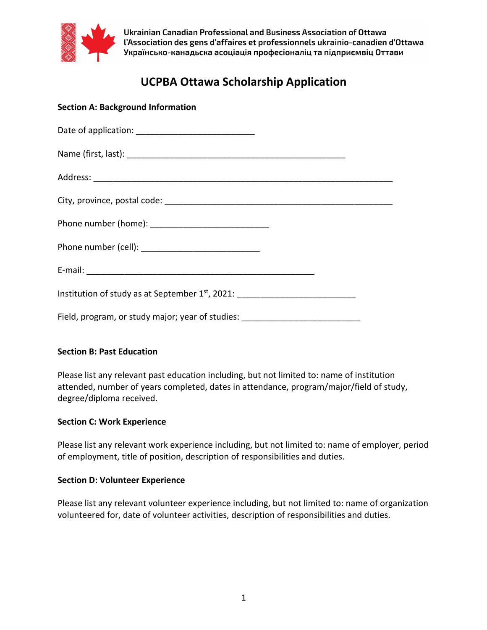

Ukrainian Canadian Professional and Business Association of Ottawa l'Association des gens d'affaires et professionnels ukrainio-canadien d'Ottawa Українсько-канадьска асоціація професіоналіц та підприємвіц Оттави

# **UCPBA Ottawa Scholarship Application**

| <b>Section A: Background Information</b>                                         |  |
|----------------------------------------------------------------------------------|--|
|                                                                                  |  |
|                                                                                  |  |
|                                                                                  |  |
|                                                                                  |  |
|                                                                                  |  |
|                                                                                  |  |
|                                                                                  |  |
| Institution of study as at September 1st, 2021: ________________________________ |  |
| Field, program, or study major; year of studies: _______________________________ |  |

## **Section B: Past Education**

Please list any relevant past education including, but not limited to: name of institution attended, number of years completed, dates in attendance, program/major/field of study, degree/diploma received.

## **Section C: Work Experience**

Please list any relevant work experience including, but not limited to: name of employer, period of employment, title of position, description of responsibilities and duties.

#### **Section D: Volunteer Experience**

Please list any relevant volunteer experience including, but not limited to: name of organization volunteered for, date of volunteer activities, description of responsibilities and duties.